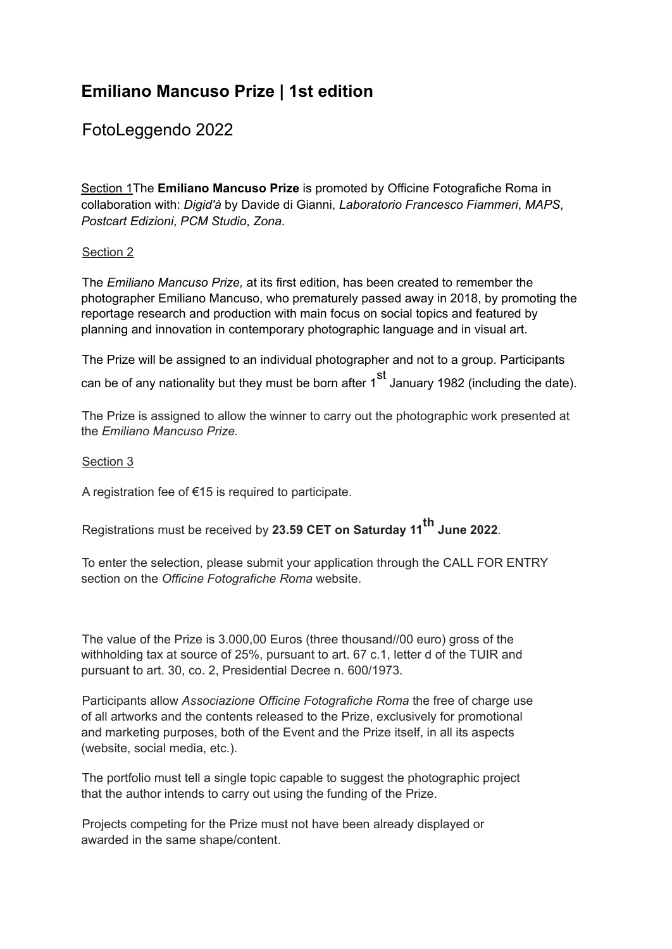# **Emiliano Mancuso Prize | 1st edition**

## FotoLeggendo 2022

Section 1The **Emiliano Mancuso Prize** is promoted by Officine Fotografiche Roma in collaboration with: *Digid'à* by Davide di Gianni, *Laboratorio Francesco Fiammeri*, *MAPS*, *Postcart Edizioni*, *PCM Studio*, *Zona*.

#### Section 2

The *Emiliano Mancuso Prize,* at its first edition, has been created to remember the photographer Emiliano Mancuso, who prematurely passed away in 2018, by promoting the reportage research and production with main focus on social topics and featured by planning and innovation in contemporary photographic language and in visual art.

The Prize will be assigned to an individual photographer and not to a group. Participants can be of any nationality but they must be born after 1<sup>st</sup> January 1982 (including the date).

The Prize is assigned to allow the winner to carry out the photographic work presented at the *Emiliano Mancuso Prize.*

#### Section 3

A registration fee of €15 is required to participate.

Registrations must be received by **23.59 CET on Saturday 11 th June 2022**.

To enter the selection, please submit your application through the CALL FOR ENTRY section on the *Officine Fotografiche Roma* website.

The value of the Prize is 3.000,00 Euros (three thousand//00 euro) gross of the withholding tax at source of 25%, pursuant to art. 67 c.1, letter d of the TUIR and pursuant to art. 30, co. 2, Presidential Decree n. 600/1973.

Participants allow *Associazione Officine Fotografiche Roma* the free of charge use of all artworks and the contents released to the Prize, exclusively for promotional and marketing purposes, both of the Event and the Prize itself, in all its aspects (website, social media, etc.).

The portfolio must tell a single topic capable to suggest the photographic project that the author intends to carry out using the funding of the Prize.

Projects competing for the Prize must not have been already displayed or awarded in the same shape/content.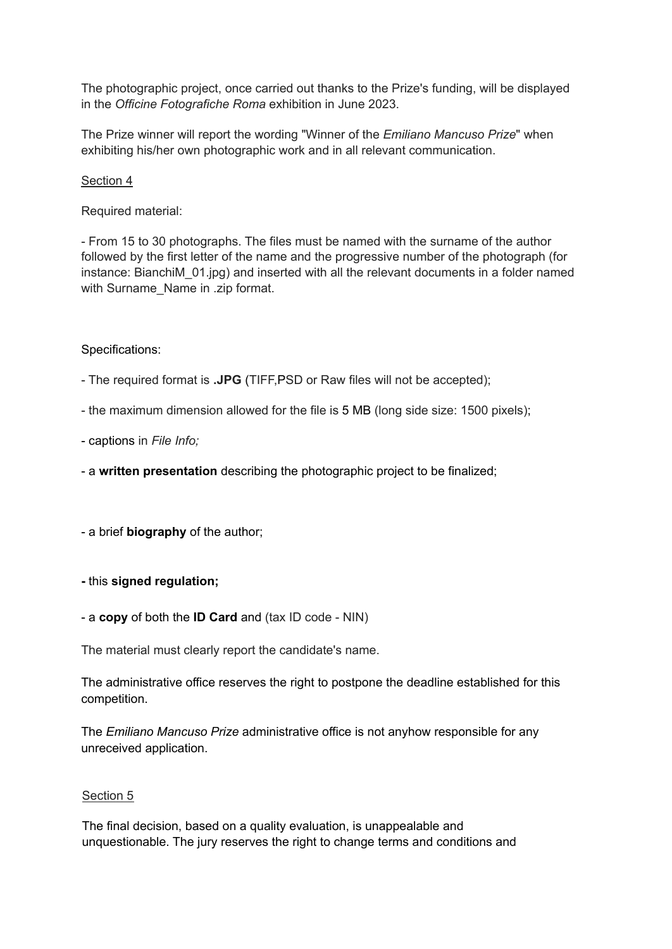The photographic project, once carried out thanks to the Prize's funding, will be displayed in the *Officine Fotografiche Roma* exhibition in June 2023.

The Prize winner will report the wording "Winner of the *Emiliano Mancuso Prize*" when exhibiting his/her own photographic work and in all relevant communication.

Section 4

Required material:

- From 15 to 30 photographs. The files must be named with the surname of the author followed by the first letter of the name and the progressive number of the photograph (for instance: BianchiM\_01.jpg) and inserted with all the relevant documents in a folder named with Surname\_Name in .zip format.

#### Specifications:

- The required format is **.JPG** (TIFF,PSD or Raw files will not be accepted);

- the maximum dimension allowed for the file is 5 MB (long side size: 1500 pixels);

- captions in *File Info;*
- a **written presentation** describing the photographic project to be finalized;
- a brief **biography** of the author;
- **-** this **signed regulation;**
- a **copy** of both the **ID Card** and (tax ID code NIN)

The material must clearly report the candidate's name.

The administrative office reserves the right to postpone the deadline established for this competition.

The *Emiliano Mancuso Prize* administrative office is not anyhow responsible for any unreceived application.

#### Section 5

The final decision, based on a quality evaluation, is unappealable and unquestionable. The jury reserves the right to change terms and conditions and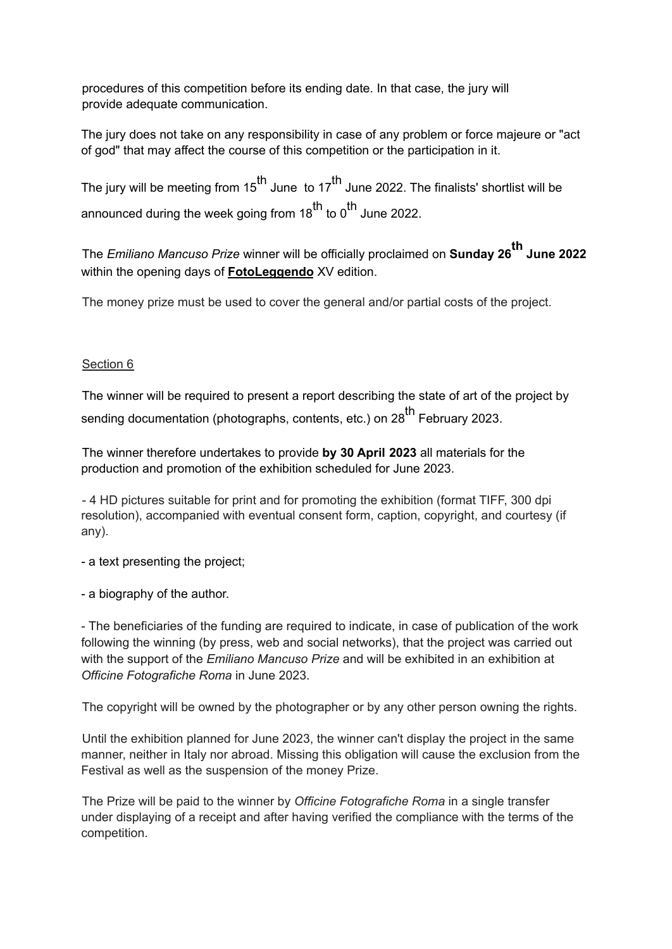procedures of this competition before its ending date. In that case, the jury will provide adequate communication.

The jury does not take on any responsibility in case of any problem or force majeure or "act of god" that may affect the course of this competition or the participation in it.

The jury will be meeting from 15<sup>th</sup> June to 17<sup>th</sup> June 2022. The finalists' shortlist will be announced during the week going from 18<sup>th</sup> to 0<sup>th</sup> June 2022.

The *Emiliano Mancuso Prize* winner will be officially proclaimed on **Sunday 26 th June 2022** within the opening days of **FotoLeggendo** XV edition.

The money prize must be used to cover the general and/or partial costs of the project.

### Section 6

The winner will be required to present a report describing the state of art of the project by sending documentation (photographs, contents, etc.) on 28<sup>th</sup> February 2023.

The winner therefore undertakes to provide **by 30 April 2023** all materials for the production and promotion of the exhibition scheduled for June 2023.

- 4 HD pictures suitable for print and for promoting the exhibition (format TIFF, 300 dpi resolution), accompanied with eventual consent form, caption, copyright, and courtesy (if any).

- a text presenting the project;

- a biography of the author.

- The beneficiaries of the funding are required to indicate, in case of publication of the work following the winning (by press, web and social networks), that the project was carried out with the support of the *Emiliano Mancuso Prize* and will be exhibited in an exhibition at *Officine Fotografiche Roma* in June 2023.

The copyright will be owned by the photographer or by any other person owning the rights.

Until the exhibition planned for June 2023, the winner can't display the project in the same manner, neither in Italy nor abroad. Missing this obligation will cause the exclusion from the Festival as well as the suspension of the money Prize.

The Prize will be paid to the winner by *Officine Fotografiche Roma* in a single transfer under displaying of a receipt and after having verified the compliance with the terms of the competition.